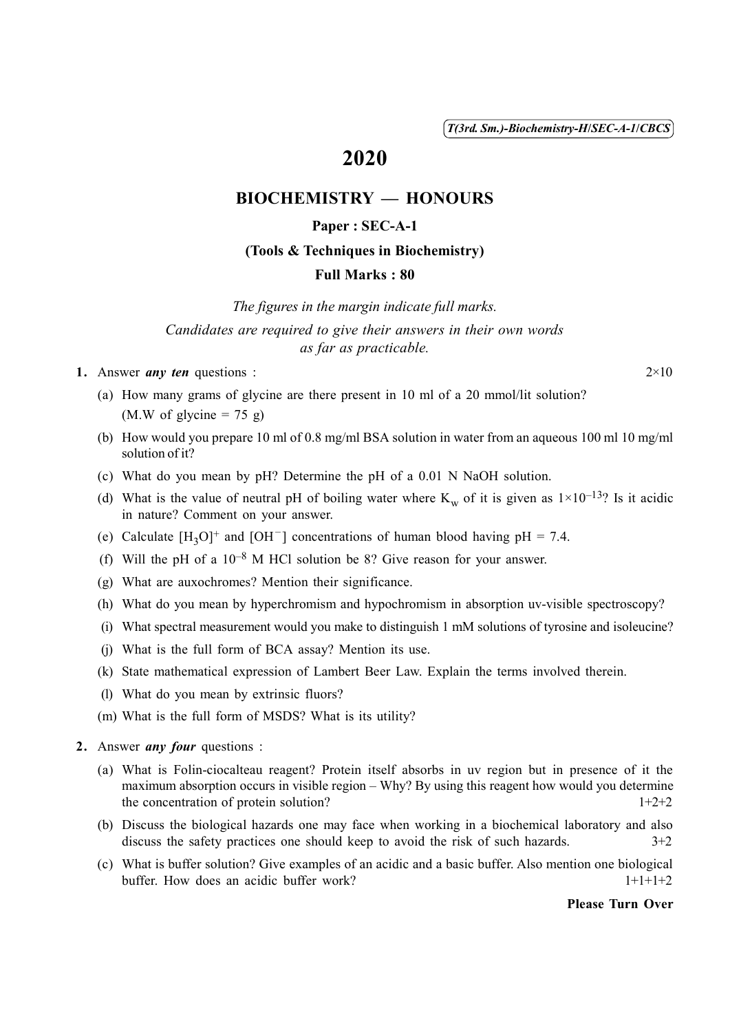( 1 ) *T(3rd. Sm.)-Biochemistry-H*/*SEC-A-1*/*CBCS*

# 2020

## BIOCHEMISTRY — HONOURS

### Paper : SEC-A-1

#### (Tools & Techniques in Biochemistry)

#### Full Marks : 80

*The figures in the margin indicate full marks. Candidates are required to give their answers in their own words as far as practicable.*

1. Answer *any ten* questions :  $2 \times 10$ 

- (a) How many grams of glycine are there present in 10 ml of a 20 mmol/lit solution?  $(M.W of glycine = 75 g)$
- (b) How would you prepare 10 ml of 0.8 mg/ml BSA solution in water from an aqueous 100 ml 10 mg/ml solution of it?
- (c) What do you mean by pH? Determine the pH of a 0.01 N NaOH solution.
- (d) What is the value of neutral pH of boiling water where  $K_w$  of it is given as  $1 \times 10^{-13}$ ? Is it acidic in nature? Comment on your answer.
- (e) Calculate  $[H_3O]^+$  and  $[OH^-]$  concentrations of human blood having pH = 7.4.
- (f) Will the pH of a  $10^{-8}$  M HCl solution be 8? Give reason for your answer.
- (g) What are auxochromes? Mention their significance.
- (h) What do you mean by hyperchromism and hypochromism in absorption uv-visible spectroscopy?
- (i) What spectral measurement would you make to distinguish 1 mM solutions of tyrosine and isoleucine?
- (j) What is the full form of BCA assay? Mention its use.
- (k) State mathematical expression of Lambert Beer Law. Explain the terms involved therein.
- (l) What do you mean by extrinsic fluors?
- (m) What is the full form of MSDS? What is its utility?
- 2. Answer *any four* questions :
	- (a) What is Folin-ciocalteau reagent? Protein itself absorbs in uv region but in presence of it the maximum absorption occurs in visible region – Why? By using this reagent how would you determine the concentration of protein solution?  $1+2+2$
	- (b) Discuss the biological hazards one may face when working in a biochemical laboratory and also discuss the safety practices one should keep to avoid the risk of such hazards.  $3+2$
	- (c) What is buffer solution? Give examples of an acidic and a basic buffer. Also mention one biological buffer. How does an acidic buffer work?  $1+1+1+2$

#### Please Turn Over